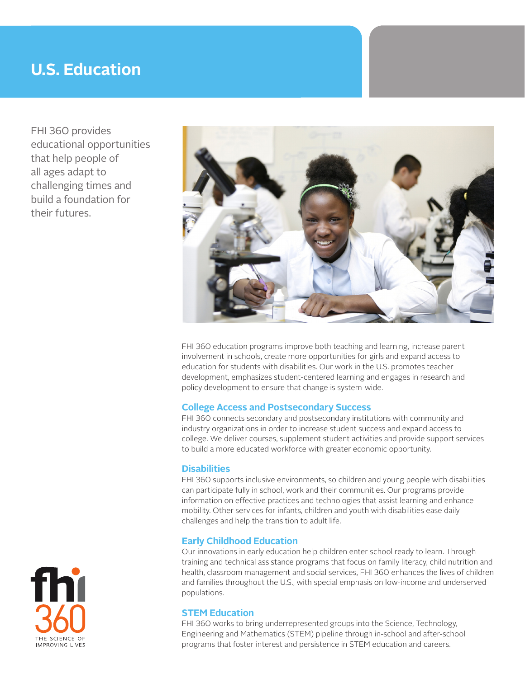# **U.S. Education**

FHI 360 provides educational opportunities that help people of all ages adapt to challenging times and build a foundation for their futures.



FHI 360 education programs improve both teaching and learning, increase parent involvement in schools, create more opportunities for girls and expand access to education for students with disabilities. Our work in the U.S. promotes teacher development, emphasizes student-centered learning and engages in research and policy development to ensure that change is system-wide.

# **College Access and Postsecondary Success**

FHI 360 connects secondary and postsecondary institutions with community and industry organizations in order to increase student success and expand access to college. We deliver courses, supplement student activities and provide support services to build a more educated workforce with greater economic opportunity.

## **Disabilities**

FHI 360 supports inclusive environments, so children and young people with disabilities can participate fully in school, work and their communities. Our programs provide information on effective practices and technologies that assist learning and enhance mobility. Other services for infants, children and youth with disabilities ease daily challenges and help the transition to adult life.

# **Early Childhood Education**

Our innovations in early education help children enter school ready to learn. Through training and technical assistance programs that focus on family literacy, child nutrition and health, classroom management and social services, FHI 360 enhances the lives of children and families throughout the U.S., with special emphasis on low-income and underserved populations.

# **STEM Education**

FHI 360 works to bring underrepresented groups into the Science, Technology, Engineering and Mathematics (STEM) pipeline through in-school and after-school programs that foster interest and persistence in STEM education and careers.